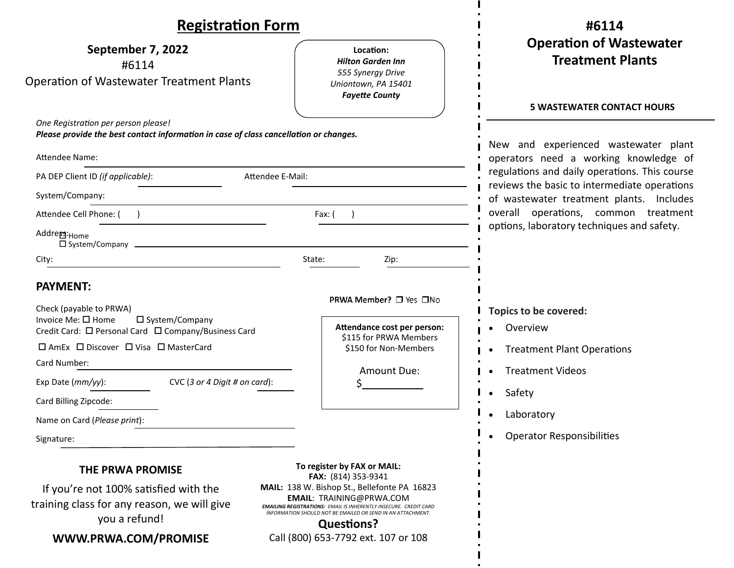| <b>Registration Form</b>                                                                                                                                 |                                                                                                                                                                                                                                                                                                                                              | #6114                                                                                                                                                                                                                      |  |
|----------------------------------------------------------------------------------------------------------------------------------------------------------|----------------------------------------------------------------------------------------------------------------------------------------------------------------------------------------------------------------------------------------------------------------------------------------------------------------------------------------------|----------------------------------------------------------------------------------------------------------------------------------------------------------------------------------------------------------------------------|--|
| September 7, 2022<br>#6114<br><b>Operation of Wastewater Treatment Plants</b>                                                                            | Location:<br><b>Hilton Garden Inn</b><br>555 Synergy Drive<br>Uniontown, PA 15401<br><b>Fayette County</b>                                                                                                                                                                                                                                   | <b>Operation of Wastewater</b><br><b>Treatment Plants</b><br><b>5 WASTEWATER CONTACT HOURS</b>                                                                                                                             |  |
| One Registration per person please!<br>Please provide the best contact information in case of class cancellation or changes.<br>Attendee Name:           |                                                                                                                                                                                                                                                                                                                                              | New and experienced wastewater plant<br>operators need a working knowledge of<br>regulations and daily operations. This course<br>reviews the basic to intermediate operations<br>of wastewater treatment plants. Includes |  |
| PA DEP Client ID (if applicable):<br>Attendee E-Mail:<br>System/Company:                                                                                 |                                                                                                                                                                                                                                                                                                                                              |                                                                                                                                                                                                                            |  |
| Attendee Cell Phone: (<br>Addre <sub>p</sub> : <sub>Home</sub><br>□ System/Company                                                                       | Fax: (                                                                                                                                                                                                                                                                                                                                       | overall operations, common treatment<br>options, laboratory techniques and safety.                                                                                                                                         |  |
| City:<br><b>PAYMENT:</b><br>Check (payable to PRWA)<br>Invoice Me: □ Home<br>□ System/Company<br>Credit Card: □ Personal Card □ Company/Business Card    | State:<br>Zip:<br>PRWA Member? □ Yes □No<br>Attendance cost per person:<br>\$115 for PRWA Members                                                                                                                                                                                                                                            | Topics to be covered:<br>Overview                                                                                                                                                                                          |  |
| □ AmEx □ Discover □ Visa □ MasterCard<br>Card Number:<br>CVC (3 or 4 Digit # on card):<br>Exp Date (mm/yy):<br>Card Billing Zipcode:                     | \$150 for Non-Members<br>Amount Due:                                                                                                                                                                                                                                                                                                         | <b>Treatment Plant Operations</b><br><b>Treatment Videos</b><br>Safety                                                                                                                                                     |  |
| Name on Card (Please print):<br>Signature:                                                                                                               |                                                                                                                                                                                                                                                                                                                                              | Laboratory<br><b>Operator Responsibilities</b>                                                                                                                                                                             |  |
| <b>THE PRWA PROMISE</b><br>If you're not 100% satisfied with the<br>training class for any reason, we will give<br>you a refund!<br>WWW.PRWA.COM/PROMISE | To register by FAX or MAIL:<br>FAX: (814) 353-9341<br>MAIL: 138 W. Bishop St., Bellefonte PA 16823<br><b>EMAIL: TRAINING@PRWA.COM</b><br><b>EMAILING REGISTRATIONS: EMAIL IS INHERENTLY INSECURE. CREDIT CARD</b><br>INFORMATION SHOULD NOT BE EMAILED OR SEND IN AN ATTACHMENT.<br><b>Questions?</b><br>Call (800) 653-7792 ext. 107 or 108 |                                                                                                                                                                                                                            |  |

 $\blacksquare$